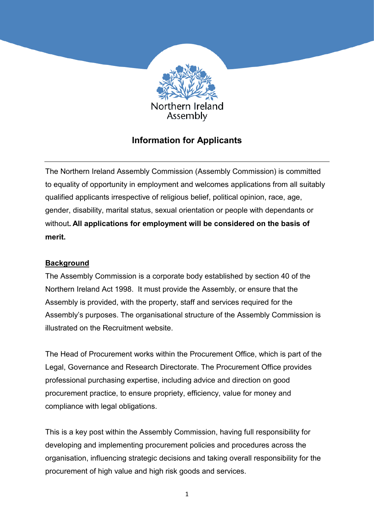

# **Information for Applicants**

The Northern Ireland Assembly Commission (Assembly Commission) is committed to equality of opportunity in employment and welcomes applications from all suitably qualified applicants irrespective of religious belief, political opinion, race, age, gender, disability, marital status, sexual orientation or people with dependants or without**. All applications for employment will be considered on the basis of merit.**

## **Background**

The Assembly Commission is a corporate body established by section 40 of the Northern Ireland Act 1998. It must provide the Assembly, or ensure that the Assembly is provided, with the property, staff and services required for the Assembly's purposes. The organisational structure of the Assembly Commission is illustrated on the Recruitment website.

The Head of Procurement works within the Procurement Office, which is part of the Legal, Governance and Research Directorate. The Procurement Office provides professional purchasing expertise, including advice and direction on good procurement practice, to ensure propriety, efficiency, value for money and compliance with legal obligations.

This is a key post within the Assembly Commission, having full responsibility for developing and implementing procurement policies and procedures across the organisation, influencing strategic decisions and taking overall responsibility for the procurement of high value and high risk goods and services.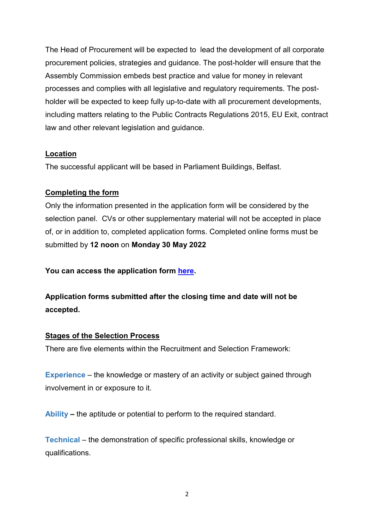The Head of Procurement will be expected to lead the development of all corporate procurement policies, strategies and guidance. The post-holder will ensure that the Assembly Commission embeds best practice and value for money in relevant processes and complies with all legislative and regulatory requirements. The postholder will be expected to keep fully up-to-date with all procurement developments, including matters relating to the Public Contracts Regulations 2015, EU Exit, contract law and other relevant legislation and guidance.

### **Location**

The successful applicant will be based in Parliament Buildings, Belfast.

## **Completing the form**

Only the information presented in the application form will be considered by the selection panel. CVs or other supplementary material will not be accepted in place of, or in addition to, completed application forms. Completed online forms must be submitted by **12 noon** on **Monday 30 May 2022**

**You can access the application form [here.](https://niassli.webitrent.com/niassli_webrecruitment/wrd/run/ETREC106gf.display_srch_all?WVID=73132004mQ)** 

**Application forms submitted after the closing time and date will not be accepted.**

#### **Stages of the Selection Process**

There are five elements within the Recruitment and Selection Framework:

**Experience** – the knowledge or mastery of an activity or subject gained through involvement in or exposure to it.

**Ability –** the aptitude or potential to perform to the required standard.

**Technical** – the demonstration of specific professional skills, knowledge or qualifications.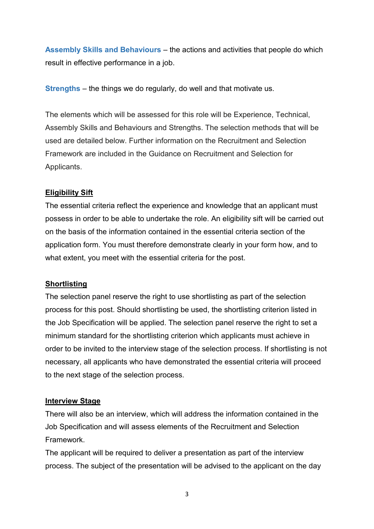**Assembly Skills and Behaviours** – the actions and activities that people do which result in effective performance in a job.

**Strengths** – the things we do regularly, do well and that motivate us.

The elements which will be assessed for this role will be Experience, Technical, Assembly Skills and Behaviours and Strengths. The selection methods that will be used are detailed below. Further information on the Recruitment and Selection Framework are included in the Guidance on Recruitment and Selection for Applicants.

### **Eligibility Sift**

The essential criteria reflect the experience and knowledge that an applicant must possess in order to be able to undertake the role. An eligibility sift will be carried out on the basis of the information contained in the essential criteria section of the application form. You must therefore demonstrate clearly in your form how, and to what extent, you meet with the essential criteria for the post.

#### **Shortlisting**

The selection panel reserve the right to use shortlisting as part of the selection process for this post. Should shortlisting be used, the shortlisting criterion listed in the Job Specification will be applied. The selection panel reserve the right to set a minimum standard for the shortlisting criterion which applicants must achieve in order to be invited to the interview stage of the selection process. If shortlisting is not necessary, all applicants who have demonstrated the essential criteria will proceed to the next stage of the selection process.

#### **Interview Stage**

There will also be an interview, which will address the information contained in the Job Specification and will assess elements of the Recruitment and Selection Framework.

The applicant will be required to deliver a presentation as part of the interview process. The subject of the presentation will be advised to the applicant on the day

3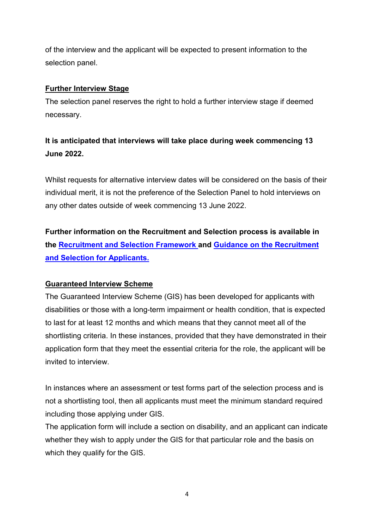of the interview and the applicant will be expected to present information to the selection panel.

### **Further Interview Stage**

The selection panel reserves the right to hold a further interview stage if deemed necessary.

# **It is anticipated that interviews will take place during week commencing 13 June 2022.**

Whilst requests for alternative interview dates will be considered on the basis of their individual merit, it is not the preference of the Selection Panel to hold interviews on any other dates outside of week commencing 13 June 2022.

**Further information on the Recruitment and Selection process is available in the [Recruitment and Selection Framework](https://niarecruitment.org/recruitment-and-selection-framework-2/) and [Guidance on the Recruitment](https://niarecruitment.org/guidance-on-recruitment-and-selection-for-applicants-2/)  [and Selection for Applicants.](https://niarecruitment.org/guidance-on-recruitment-and-selection-for-applicants-2/)**

## **Guaranteed Interview Scheme**

The Guaranteed Interview Scheme (GIS) has been developed for applicants with disabilities or those with a long-term impairment or health condition, that is expected to last for at least 12 months and which means that they cannot meet all of the shortlisting criteria. In these instances, provided that they have demonstrated in their application form that they meet the essential criteria for the role, the applicant will be invited to interview.

In instances where an assessment or test forms part of the selection process and is not a shortlisting tool, then all applicants must meet the minimum standard required including those applying under GIS.

The application form will include a section on disability, and an applicant can indicate whether they wish to apply under the GIS for that particular role and the basis on which they qualify for the GIS.

4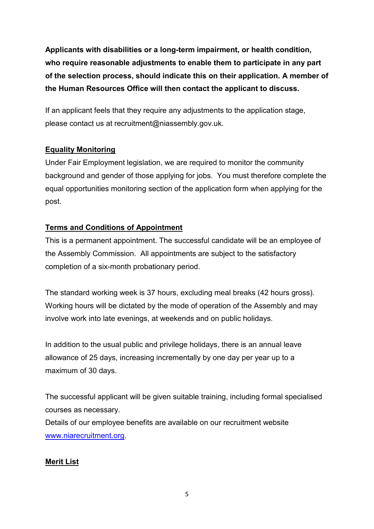**Applicants with disabilities or a long-term impairment, or health condition, who require reasonable adjustments to enable them to participate in any part of the selection process, should indicate this on their application. A member of the Human Resources Office will then contact the applicant to discuss.** 

If an applicant feels that they require any adjustments to the application stage, please contact us at recruitment@niassembly.gov.uk.

# **Equality Monitoring**

Under Fair Employment legislation, we are required to monitor the community background and gender of those applying for jobs. You must therefore complete the equal opportunities monitoring section of the application form when applying for the post.

# **Terms and Conditions of Appointment**

This is a permanent appointment. The successful candidate will be an employee of the Assembly Commission. All appointments are subject to the satisfactory completion of a six-month probationary period.

The standard working week is 37 hours, excluding meal breaks (42 hours gross). Working hours will be dictated by the mode of operation of the Assembly and may involve work into late evenings, at weekends and on public holidays.

In addition to the usual public and privilege holidays, there is an annual leave allowance of 25 days, increasing incrementally by one day per year up to a maximum of 30 days.

The successful applicant will be given suitable training, including formal specialised courses as necessary.

Details of our employee benefits are available on our recruitment website [www.niarecruitment.org.](http://www.niarecruitment.org/)

## **Merit List**